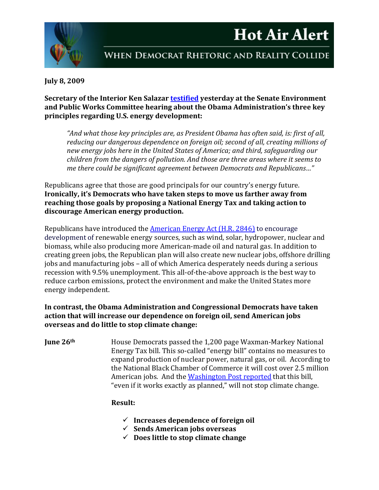# **Hot Air Alert**



## WHEN DEMOCRAT RHETORIC AND REALITY COLLIDE

#### **July 8, 2009**

#### **Secretary of the Interior Ken Salazar [testified](http://epw.senate.gov/public/index.cfm?FuseAction=Hearings.LiveStream&Hearing_id=36d4e3a5-802a-23ad-46dc-18337864995f) yesterday at the Senate Environment and Public Works Committee hearing about the Obama Administration's three key principles regarding U.S. energy development:**

*"And what those key principles are, as President Obama has often said, is: first of all, reducing our dangerous dependence on foreign oil; second of all, creating millions of new energy jobs here in the United States of America; and third, safeguarding our children from the dangers of pollution. And those are three areas where it seems to me there could be significant agreement between Democrats and Republicans…"*

Republicans agree that those are good principals for our country's energy future. **Ironically, it's Democrats who have taken steps to move us farther away from reaching those goals by proposing a National Energy Tax and taking action to discourage American energy production.** 

Republicans have introduced the [American Energy Act \(H.R. 2846\)](http://republicans.resourcescommittee.house.gov/News/DocumentSingle.aspx?DocumentID=134550) to encourage development of renewable energy sources, such as wind, solar, hydropower, nuclear and biomass, while also producing more American-made oil and natural gas. In addition to creating green jobs, the Republican plan will also create new nuclear jobs, offshore drilling jobs and manufacturing jobs – all of which America desperately needs during a serious recession with 9.5% unemployment. This all-of-the-above approach is the best way to reduce carbon emissions, protect the environment and make the United States more energy independent.

#### **In contrast, the Obama Administration and Congressional Democrats have taken action that will increase our dependence on foreign oil, send American jobs overseas and do little to stop climate change:**

**June 26<sup>th</sup>** House Democrats passed the 1,200 page Waxman-Markey National Energy Tax bill. This so-called "energy bill" contains no measures to expand production of nuclear power, natural gas, or oil. According to the National Black Chamber of Commerce it will cost over 2.5 million American jobs. And the [Washington Post reported](http://www.washingtonpost.com/wp-dyn/content/article/2009/07/05/AR2009070502287_pf.html) that this bill, "even if it works exactly as planned," will not stop climate change.

#### **Result:**

- **Increases dependence of foreign oil**
- **Sends American jobs overseas**
- **Does little to stop climate change**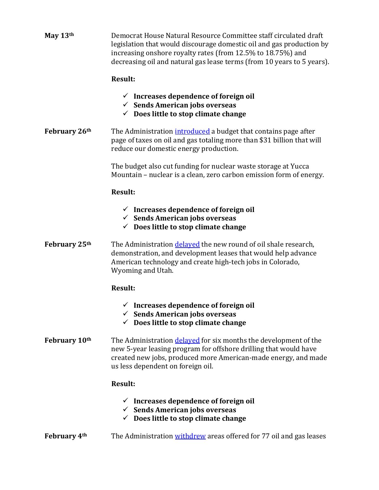| May 13th      | Democrat House Natural Resource Committee staff circulated draft<br>legislation that would discourage domestic oil and gas production by<br>increasing onshore royalty rates (from 12.5% to 18.75%) and<br>decreasing oil and natural gas lease terms (from 10 years to 5 years). |
|---------------|-----------------------------------------------------------------------------------------------------------------------------------------------------------------------------------------------------------------------------------------------------------------------------------|
|               | <b>Result:</b>                                                                                                                                                                                                                                                                    |
|               | $\checkmark$ Increases dependence of foreign oil<br>$\checkmark$ Sends American jobs overseas<br>$\checkmark$ Does little to stop climate change                                                                                                                                  |
| February 26th | The Administration introduced a budget that contains page after<br>page of taxes on oil and gas totaling more than \$31 billion that will<br>reduce our domestic energy production.                                                                                               |
|               | The budget also cut funding for nuclear waste storage at Yucca<br>Mountain - nuclear is a clean, zero carbon emission form of energy.                                                                                                                                             |
|               | <b>Result:</b>                                                                                                                                                                                                                                                                    |
|               | $\checkmark$ Increases dependence of foreign oil<br>$\checkmark$ Sends American jobs overseas<br>$\checkmark$ Does little to stop climate change                                                                                                                                  |
| February 25th | The Administration <i>delayed</i> the new round of oil shale research,<br>demonstration, and development leases that would help advance<br>American technology and create high-tech jobs in Colorado,<br>Wyoming and Utah.                                                        |
|               | <b>Result:</b>                                                                                                                                                                                                                                                                    |
|               | $\checkmark$ Increases dependence of foreign oil<br>$\checkmark$ Sends American jobs overseas<br>$\checkmark$ Does little to stop climate change                                                                                                                                  |
| February 10th | The Administration delayed for six months the development of the<br>new 5-year leasing program for offshore drilling that would have<br>created new jobs, produced more American-made energy, and made<br>us less dependent on foreign oil.                                       |
|               | <b>Result:</b>                                                                                                                                                                                                                                                                    |
|               | $\checkmark$ Increases dependence of foreign oil<br>$\checkmark$ Sends American jobs overseas<br>$\checkmark$ Does little to stop climate change                                                                                                                                  |
| February 4th  | The Administration withdrew areas offered for 77 oil and gas leases                                                                                                                                                                                                               |